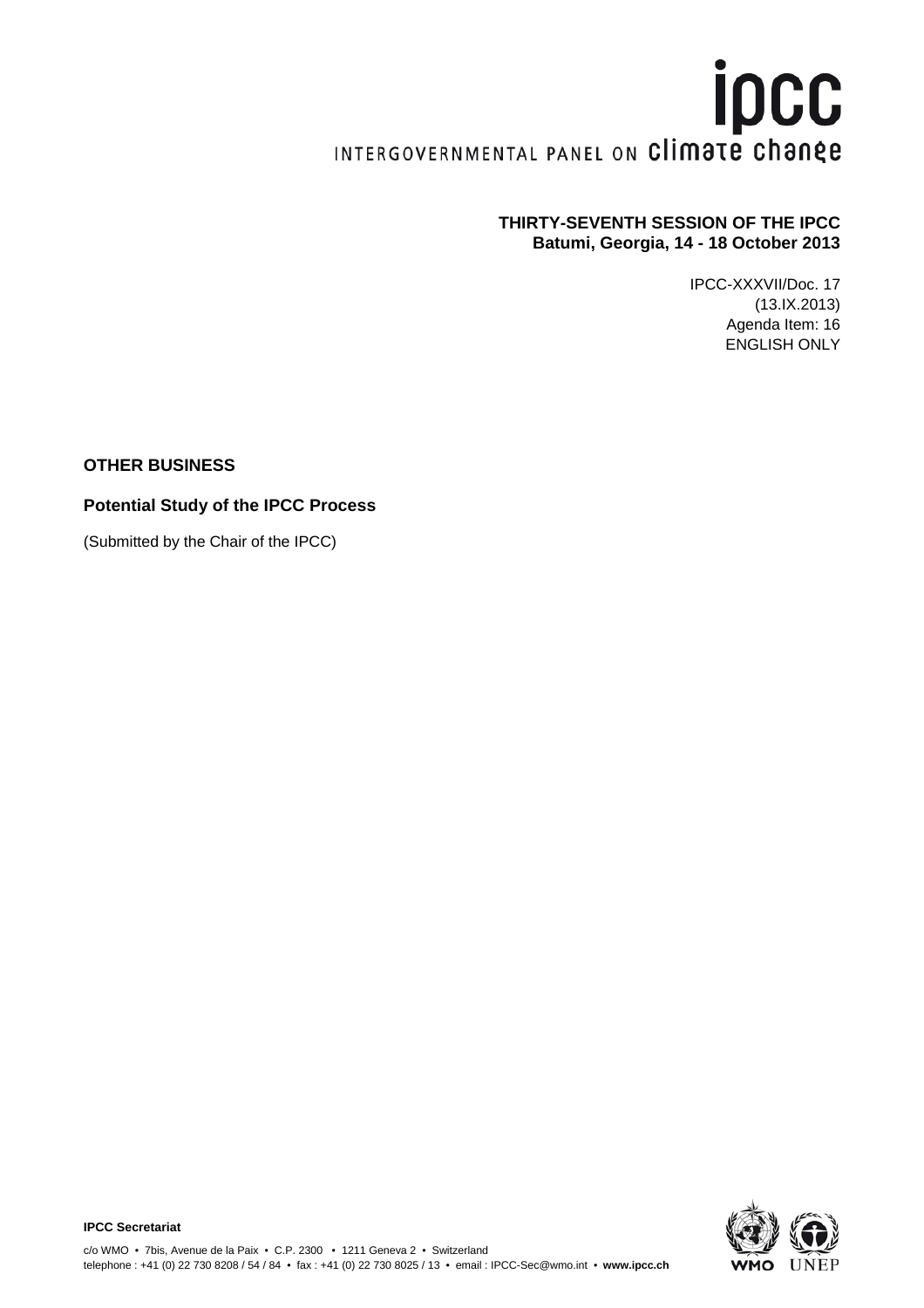# **ipcc** INTERGOVERNMENTAL PANEL ON Climate change

# **THIRTY-SEVENTH SESSION OF THE IPCC Batumi, Georgia, 14 - 18 October 2013**

IPCC-XXXVII/Doc. 17 (13.IX.2013) Agenda Item: 16 ENGLISH ONLY

## **OTHER BUSINESS**

## **Potential Study of the IPCC Process**

(Submitted by the Chair of the IPCC)

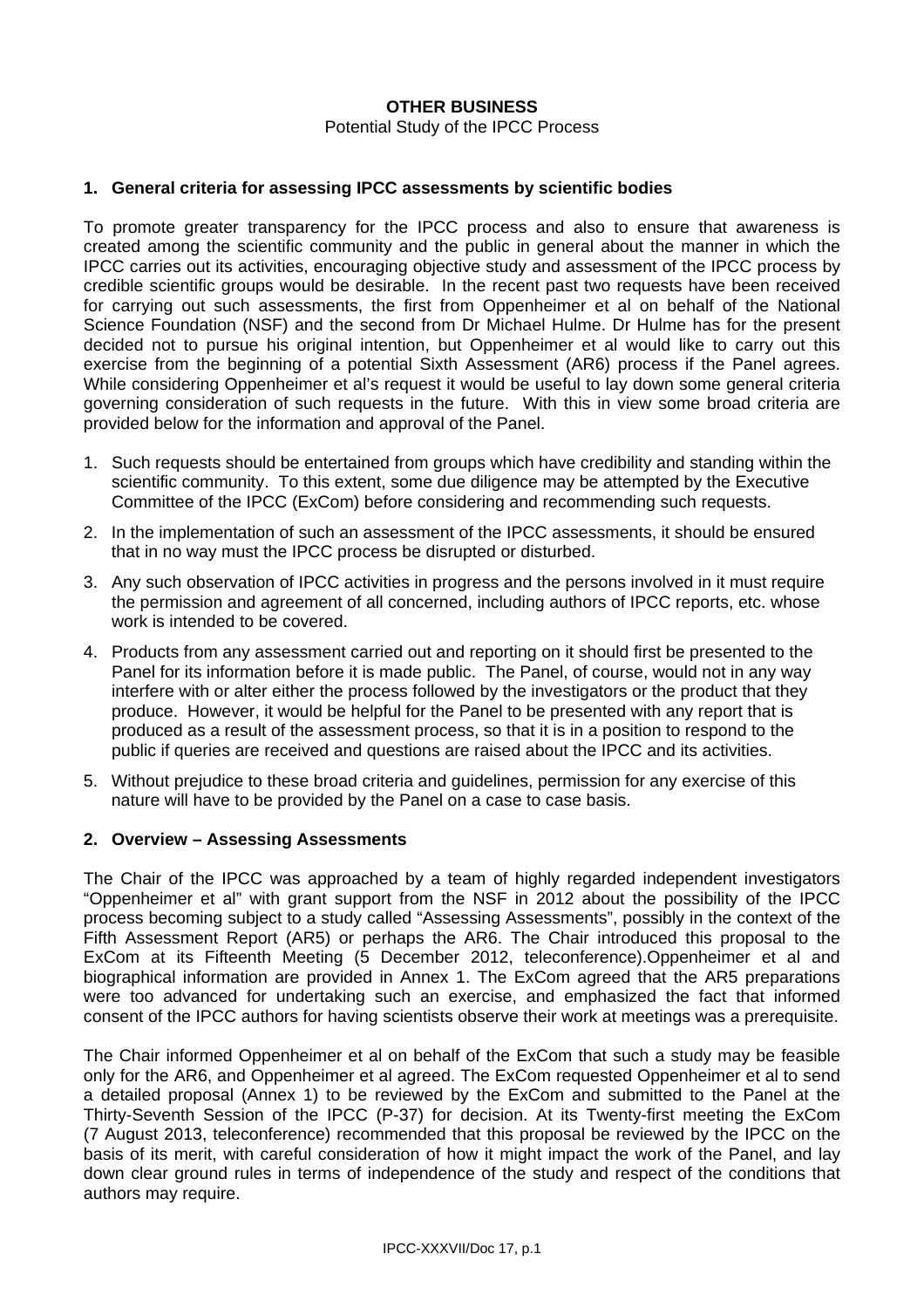## **OTHER BUSINESS**

Potential Study of the IPCC Process

## **1. General criteria for assessing IPCC assessments by scientific bodies**

To promote greater transparency for the IPCC process and also to ensure that awareness is created among the scientific community and the public in general about the manner in which the IPCC carries out its activities, encouraging objective study and assessment of the IPCC process by credible scientific groups would be desirable. In the recent past two requests have been received for carrying out such assessments, the first from Oppenheimer et al on behalf of the National Science Foundation (NSF) and the second from Dr Michael Hulme. Dr Hulme has for the present decided not to pursue his original intention, but Oppenheimer et al would like to carry out this exercise from the beginning of a potential Sixth Assessment (AR6) process if the Panel agrees. While considering Oppenheimer et al's request it would be useful to lay down some general criteria governing consideration of such requests in the future. With this in view some broad criteria are provided below for the information and approval of the Panel.

- 1. Such requests should be entertained from groups which have credibility and standing within the scientific community. To this extent, some due diligence may be attempted by the Executive Committee of the IPCC (ExCom) before considering and recommending such requests.
- 2. In the implementation of such an assessment of the IPCC assessments, it should be ensured that in no way must the IPCC process be disrupted or disturbed.
- 3. Any such observation of IPCC activities in progress and the persons involved in it must require the permission and agreement of all concerned, including authors of IPCC reports, etc. whose work is intended to be covered.
- 4. Products from any assessment carried out and reporting on it should first be presented to the Panel for its information before it is made public. The Panel, of course, would not in any way interfere with or alter either the process followed by the investigators or the product that they produce. However, it would be helpful for the Panel to be presented with any report that is produced as a result of the assessment process, so that it is in a position to respond to the public if queries are received and questions are raised about the IPCC and its activities.
- 5. Without prejudice to these broad criteria and guidelines, permission for any exercise of this nature will have to be provided by the Panel on a case to case basis.

#### **2. Overview – Assessing Assessments**

The Chair of the IPCC was approached by a team of highly regarded independent investigators "Oppenheimer et al" with grant support from the NSF in 2012 about the possibility of the IPCC process becoming subject to a study called "Assessing Assessments", possibly in the context of the Fifth Assessment Report (AR5) or perhaps the AR6. The Chair introduced this proposal to the ExCom at its Fifteenth Meeting (5 December 2012, teleconference).Oppenheimer et al and biographical information are provided in Annex 1. The ExCom agreed that the AR5 preparations were too advanced for undertaking such an exercise, and emphasized the fact that informed consent of the IPCC authors for having scientists observe their work at meetings was a prerequisite.

The Chair informed Oppenheimer et al on behalf of the ExCom that such a study may be feasible only for the AR6, and Oppenheimer et al agreed. The ExCom requested Oppenheimer et al to send a detailed proposal (Annex 1) to be reviewed by the ExCom and submitted to the Panel at the Thirty-Seventh Session of the IPCC (P-37) for decision. At its Twenty-first meeting the ExCom (7 August 2013, teleconference) recommended that this proposal be reviewed by the IPCC on the basis of its merit, with careful consideration of how it might impact the work of the Panel, and lay down clear ground rules in terms of independence of the study and respect of the conditions that authors may require.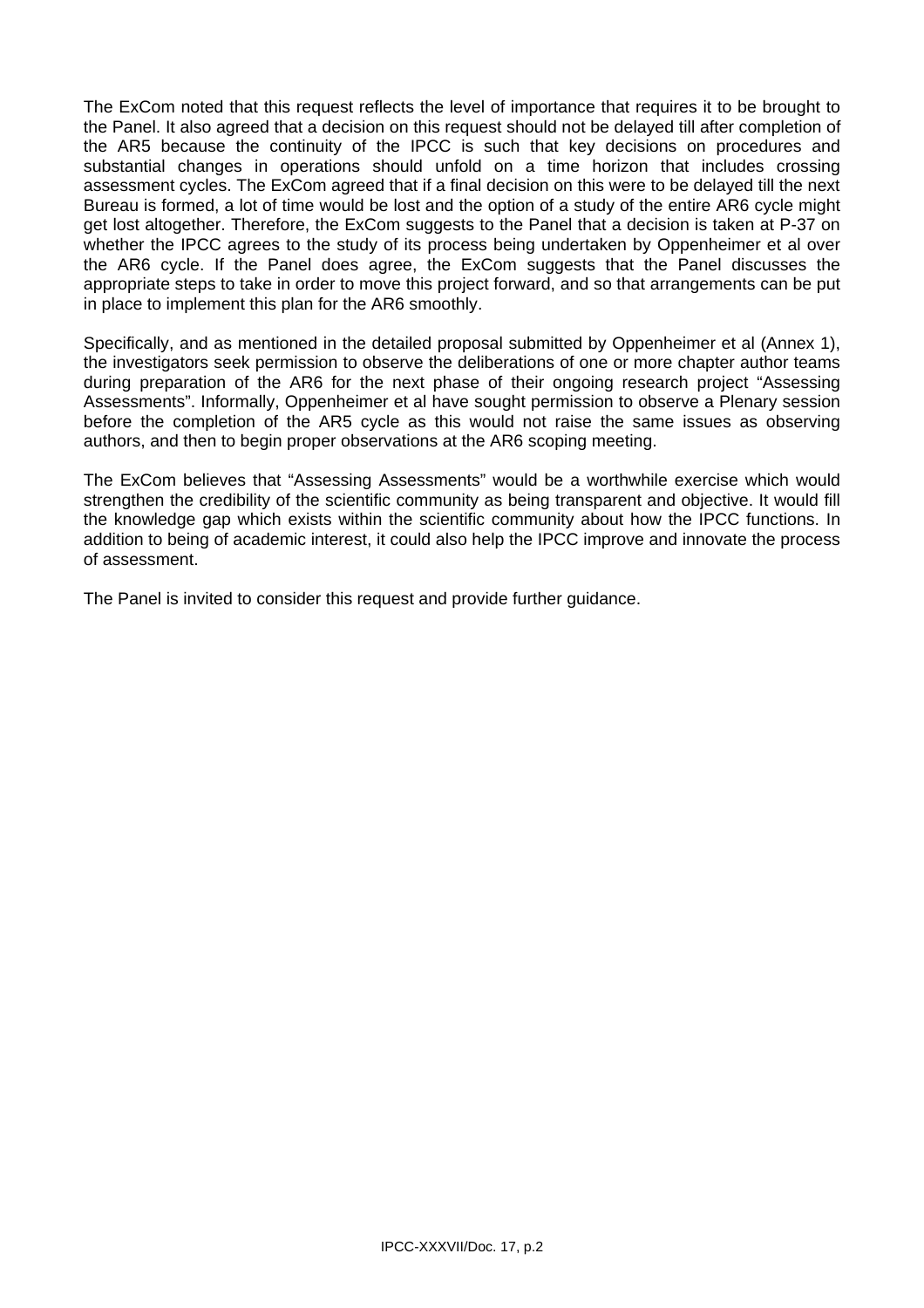The ExCom noted that this request reflects the level of importance that requires it to be brought to the Panel. It also agreed that a decision on this request should not be delayed till after completion of the AR5 because the continuity of the IPCC is such that key decisions on procedures and substantial changes in operations should unfold on a time horizon that includes crossing assessment cycles. The ExCom agreed that if a final decision on this were to be delayed till the next Bureau is formed, a lot of time would be lost and the option of a study of the entire AR6 cycle might get lost altogether. Therefore, the ExCom suggests to the Panel that a decision is taken at P-37 on whether the IPCC agrees to the study of its process being undertaken by Oppenheimer et al over the AR6 cycle. If the Panel does agree, the ExCom suggests that the Panel discusses the appropriate steps to take in order to move this project forward, and so that arrangements can be put in place to implement this plan for the AR6 smoothly.

Specifically, and as mentioned in the detailed proposal submitted by Oppenheimer et al (Annex 1), the investigators seek permission to observe the deliberations of one or more chapter author teams during preparation of the AR6 for the next phase of their ongoing research project "Assessing Assessments". Informally, Oppenheimer et al have sought permission to observe a Plenary session before the completion of the AR5 cycle as this would not raise the same issues as observing authors, and then to begin proper observations at the AR6 scoping meeting.

The ExCom believes that "Assessing Assessments" would be a worthwhile exercise which would strengthen the credibility of the scientific community as being transparent and objective. It would fill the knowledge gap which exists within the scientific community about how the IPCC functions. In addition to being of academic interest, it could also help the IPCC improve and innovate the process of assessment.

The Panel is invited to consider this request and provide further guidance.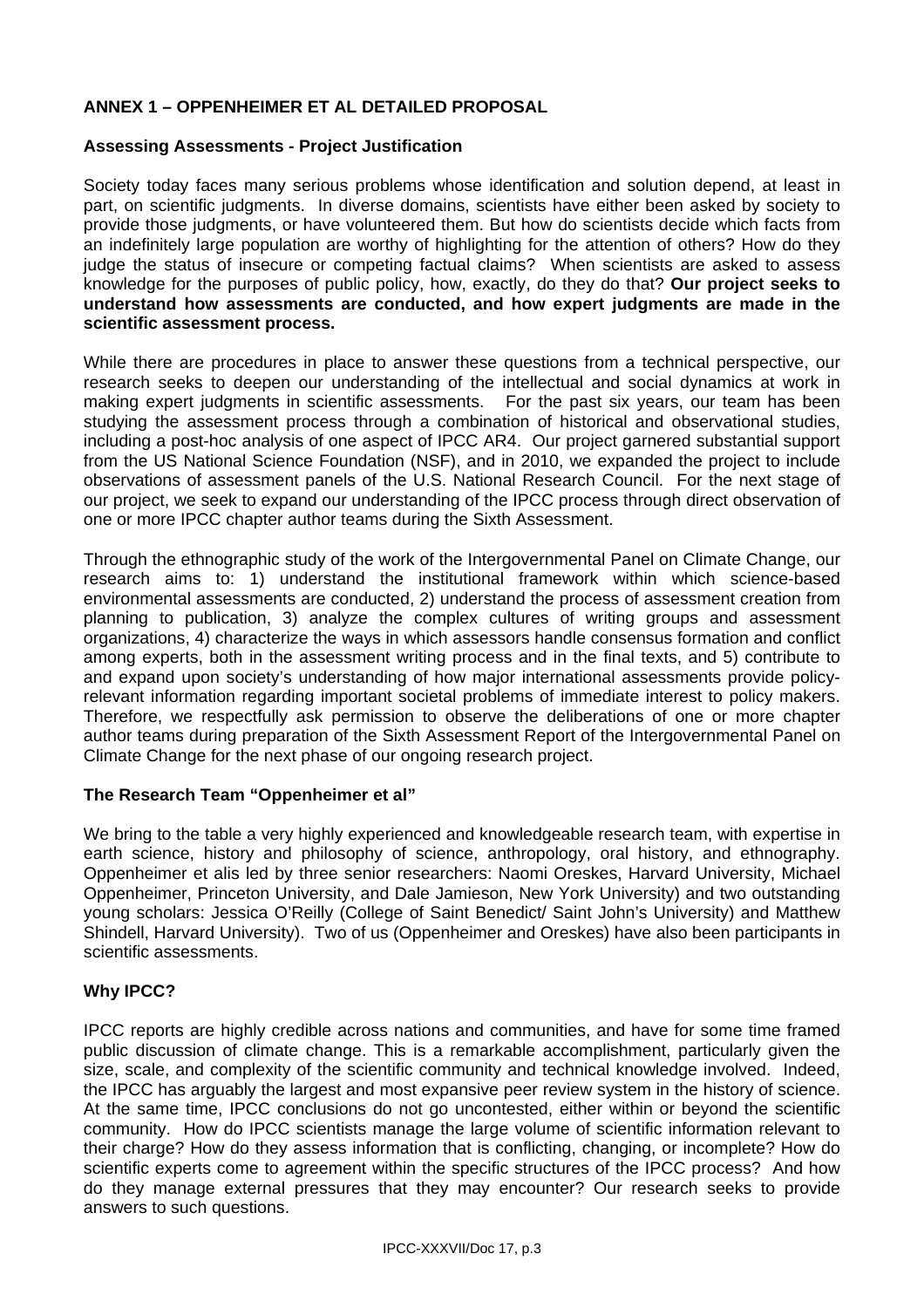# **ANNEX 1 – OPPENHEIMER ET AL DETAILED PROPOSAL**

### **Assessing Assessments - Project Justification**

Society today faces many serious problems whose identification and solution depend, at least in part, on scientific judgments. In diverse domains, scientists have either been asked by society to provide those judgments, or have volunteered them. But how do scientists decide which facts from an indefinitely large population are worthy of highlighting for the attention of others? How do they judge the status of insecure or competing factual claims? When scientists are asked to assess knowledge for the purposes of public policy, how, exactly, do they do that? **Our project seeks to understand how assessments are conducted, and how expert judgments are made in the scientific assessment process.**

While there are procedures in place to answer these questions from a technical perspective, our research seeks to deepen our understanding of the intellectual and social dynamics at work in making expert judgments in scientific assessments. For the past six years, our team has been studying the assessment process through a combination of historical and observational studies, including a post-hoc analysis of one aspect of IPCC AR4. Our project garnered substantial support from the US National Science Foundation (NSF), and in 2010, we expanded the project to include observations of assessment panels of the U.S. National Research Council. For the next stage of our project, we seek to expand our understanding of the IPCC process through direct observation of one or more IPCC chapter author teams during the Sixth Assessment.

Through the ethnographic study of the work of the Intergovernmental Panel on Climate Change, our research aims to: 1) understand the institutional framework within which science-based environmental assessments are conducted, 2) understand the process of assessment creation from planning to publication, 3) analyze the complex cultures of writing groups and assessment organizations, 4) characterize the ways in which assessors handle consensus formation and conflict among experts, both in the assessment writing process and in the final texts, and 5) contribute to and expand upon society's understanding of how major international assessments provide policyrelevant information regarding important societal problems of immediate interest to policy makers. Therefore, we respectfully ask permission to observe the deliberations of one or more chapter author teams during preparation of the Sixth Assessment Report of the Intergovernmental Panel on Climate Change for the next phase of our ongoing research project.

#### **The Research Team "Oppenheimer et al"**

We bring to the table a very highly experienced and knowledgeable research team, with expertise in earth science, history and philosophy of science, anthropology, oral history, and ethnography. Oppenheimer et alis led by three senior researchers: Naomi Oreskes, Harvard University, Michael Oppenheimer, Princeton University, and Dale Jamieson, New York University) and two outstanding young scholars: Jessica O'Reilly (College of Saint Benedict/ Saint John's University) and Matthew Shindell, Harvard University). Two of us (Oppenheimer and Oreskes) have also been participants in scientific assessments.

#### **Why IPCC?**

IPCC reports are highly credible across nations and communities, and have for some time framed public discussion of climate change. This is a remarkable accomplishment, particularly given the size, scale, and complexity of the scientific community and technical knowledge involved. Indeed, the IPCC has arguably the largest and most expansive peer review system in the history of science. At the same time, IPCC conclusions do not go uncontested, either within or beyond the scientific community. How do IPCC scientists manage the large volume of scientific information relevant to their charge? How do they assess information that is conflicting, changing, or incomplete? How do scientific experts come to agreement within the specific structures of the IPCC process? And how do they manage external pressures that they may encounter? Our research seeks to provide answers to such questions.